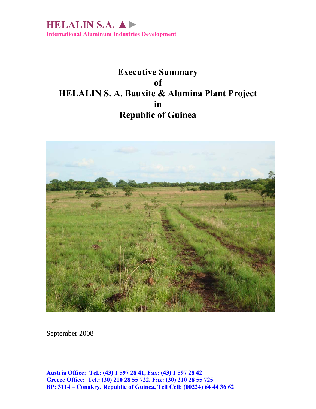

# **Executive Summary of HELALIN S. A. Bauxite & Alumina Plant Project in Republic of Guinea**



September 2008

**Austria Office: Tel.: (43) 1 597 28 41, Fax: (43) 1 597 28 42 Greece Office: Tel.: (30) 210 28 55 722, Fax: (30) 210 28 55 725 BP: 3114 – Conakry, Republic of Guinea, Tell Cell: (00224) 64 44 36 62**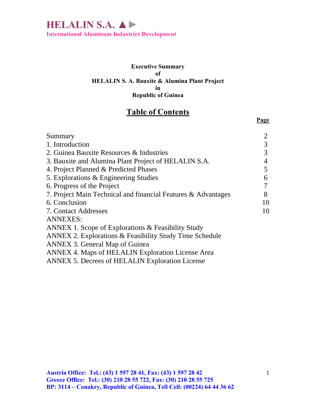**International Aluminum Industries Development** 

#### **Executive Summary of HELALIN S. A. Bauxite & Alumina Plant Project in Republic of Guinea**

## **Table of Contents**

| Summary                                                            | $\overline{2}$ |
|--------------------------------------------------------------------|----------------|
| 1. Introduction                                                    | 3              |
| 2. Guinea Bauxite Resources & Industries                           | 3              |
| 3. Bauxite and Alumina Plant Project of HELALIN S.A.               | 4              |
| 4. Project Planned & Predicted Phases                              | 5              |
| 5. Explorations & Engineering Studies                              | 6              |
| 6. Progress of the Project                                         | 7              |
| 7. Project Main Technical and financial Features & Advantages      | 8              |
| 6. Conclusion                                                      | 10             |
| 7. Contact Addresses                                               | 10             |
| <b>ANNEXES:</b>                                                    |                |
| ANNEX 1. Scope of Explorations & Feasibility Study                 |                |
| <b>ANNEX 2. Explorations &amp; Feasibility Study Time Schedule</b> |                |
| ANNEX 3. General Map of Guinea                                     |                |
| ANNEX 4. Maps of HELALIN Exploration License Area                  |                |

ANNEX 5. Decrees of HELALIN Exploration License

**Page**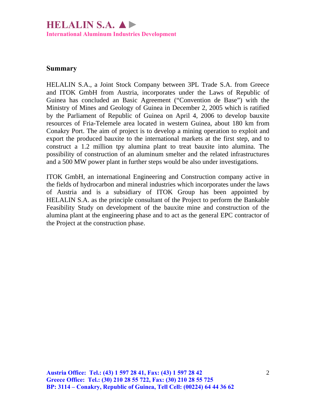## **HELALIN S.A. ▲►**

**International Aluminum Industries Development** 

#### **Summary**

HELALIN S.A., a Joint Stock Company between 3PL Trade S.A. from Greece and ITOK GmbH from Austria, incorporates under the Laws of Republic of Guinea has concluded an Basic Agreement ("Convention de Base") with the Ministry of Mines and Geology of Guinea in December 2, 2005 which is ratified by the Parliament of Republic of Guinea on April 4, 2006 to develop bauxite resources of Fria-Telemele area located in western Guinea, about 180 km from Conakry Port. The aim of project is to develop a mining operation to exploit and export the produced bauxite to the international markets at the first step, and to construct a 1.2 million tpy alumina plant to treat bauxite into alumina. The possibility of construction of an aluminum smelter and the related infrastructures and a 500 MW power plant in further steps would be also under investigations.

ITOK GmbH, an international Engineering and Construction company active in the fields of hydrocarbon and mineral industries which incorporates under the laws of Austria and is a subsidiary of ITOK Group has been appointed by HELALIN S.A. as the principle consultant of the Project to perform the Bankable Feasibility Study on development of the bauxite mine and construction of the alumina plant at the engineering phase and to act as the general EPC contractor of the Project at the construction phase.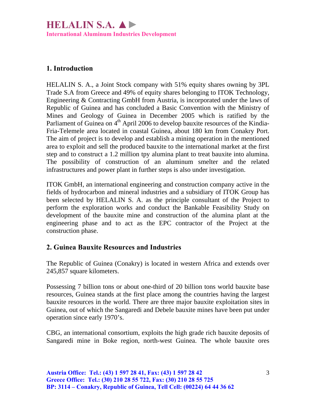### **1. Introduction**

HELALIN S. A., a Joint Stock company with 51% equity shares owning by 3PL Trade S.A from Greece and 49% of equity shares belonging to ITOK Technology, Engineering & Contracting GmbH from Austria, is incorporated under the laws of Republic of Guinea and has concluded a Basic Convention with the Ministry of Mines and Geology of Guinea in December 2005 which is ratified by the Parliament of Guinea on 4<sup>th</sup> April 2006 to develop bauxite resources of the Kindia-Fria-Telemele area located in coastal Guinea, about 180 km from Conakry Port. The aim of project is to develop and establish a mining operation in the mentioned area to exploit and sell the produced bauxite to the international market at the first step and to construct a 1.2 million tpy alumina plant to treat bauxite into alumina. The possibility of construction of an aluminum smelter and the related infrastructures and power plant in further steps is also under investigation.

ITOK GmbH, an international engineering and construction company active in the fields of hydrocarbon and mineral industries and a subsidiary of ITOK Group has been selected by HELALIN S. A. as the principle consultant of the Project to perform the exploration works and conduct the Bankable Feasibility Study on development of the bauxite mine and construction of the alumina plant at the engineering phase and to act as the EPC contractor of the Project at the construction phase.

### **2. Guinea Bauxite Resources and Industries**

The Republic of Guinea (Conakry) is located in western Africa and extends over 245,857 square kilometers.

Possessing 7 billion tons or about one-third of 20 billion tons world bauxite base resources, Guinea stands at the first place among the countries having the largest bauxite resources in the world. There are three major bauxite exploitation sites in Guinea, out of which the Sangaredi and Debele bauxite mines have been put under operation since early 1970's.

CBG, an international consortium, exploits the high grade rich bauxite deposits of Sangaredi mine in Boke region, north-west Guinea. The whole bauxite ores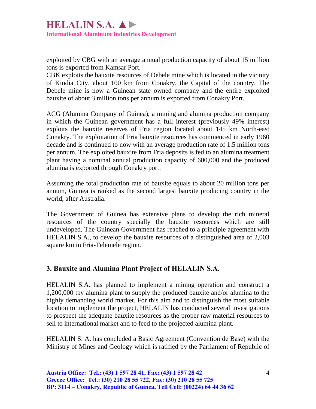exploited by CBG with an average annual production capacity of about 15 million tons is exported from Kamsar Port.

CBK exploits the bauxite resources of Debele mine which is located in the vicinity of Kindia City, about 100 km from Conakry, the Capital of the country. The Debele mine is now a Guinean state owned company and the entire exploited bauxite of about 3 million tons per annum is exported from Conakry Port.

ACG (Alumina Company of Guinea), a mining and alumina production company in which the Guinean government has a full interest (previously 49% interest) exploits the bauxite reserves of Fria region located about 145 km North-east Conakry. The exploitation of Fria bauxite resources has commenced in early 1960 decade and is continued to now with an average production rate of 1.5 million tons per annum. The exploited bauxite from Fria deposits is fed to an alumina treatment plant having a nominal annual production capacity of 600,000 and the produced alumina is exported through Conakry port.

Assuming the total production rate of bauxite equals to about 20 million tons per annum, Guinea is ranked as the second largest bauxite producing country in the world, after Australia.

The Government of Guinea has extensive plans to develop the rich mineral resources of the country specially the bauxite resources which are still undeveloped. The Guinean Government has reached to a principle agreement with HELALIN S.A., to develop the bauxite resources of a distinguished area of 2,003 square km in Fria-Telemele region.

### **3. Bauxite and Alumina Plant Project of HELALIN S.A.**

HELALIN S.A. has planned to implement a mining operation and construct a 1,200,000 tpy alumina plant to supply the produced bauxite and/or alumina to the highly demanding world market. For this aim and to distinguish the most suitable location to implement the project, HELALIN has conducted several investigations to prospect the adequate bauxite resources as the proper raw material resources to sell to international market and to feed to the projected alumina plant.

HELALIN S. A. has concluded a Basic Agreement (Convention de Base) with the Ministry of Mines and Geology which is ratified by the Parliament of Republic of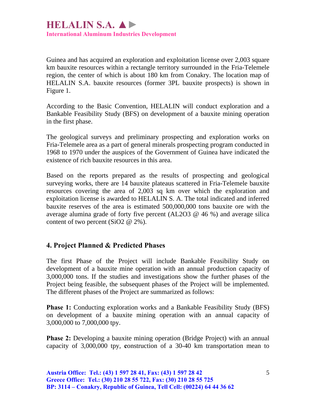Guinea and has acquired an exploration and exploitation license over 2,003 square km bauxite resources within a rectangle territory surrounded in the Fria-Telemele region, the center of which is about 180 km from Conakry. The location map of HELALIN S.A. bauxite resources (former 3PL bauxite prospects) is shown in Figure 1.

According to the Basic Convention, HELALIN will conduct exploration and a Bankable Feasibility Study (BFS) on development of a bauxite mining operation in the first phase.

The geological surveys and preliminary prospecting and exploration works on Fria-Telemele area as a part of general minerals prospecting program conducted in 1968 to 1970 under the auspices of the Government of Guinea have indicated the existence of rich bauxite resources in this area.

Based on the reports prepared as the results of prospecting and geological surveying works, there are 14 bauxite plateaus scattered in Fria-Telemele bauxite resources covering the area of 2,003 sq km over which the exploration and exploitation license is awarded to HELALIN S. A. The total indicated and inferred bauxite reserves of the area is estimated 500,000,000 tons bauxite ore with the average alumina grade of forty five percent (AL2O3 @ 46 %) and average silica content of two percent (SiO2 @ 2%).

### **4. Project Planned & Predicted Phases**

The first Phase of the Project will include Bankable Feasibility Study on development of a bauxite mine operation with an annual production capacity of 3,000,000 tons. If the studies and investigations show the further phases of the Project being feasible, the subsequent phases of the Project will be implemented. The different phases of the Project are summarized as follows:

**Phase 1:** Conducting exploration works and a Bankable Feasibility Study (BFS) on development of a bauxite mining operation with an annual capacity of 3,000,000 to 7,000,000 tpy.

**Phase 2:** Developing a bauxite mining operation (Bridge Project) with an annual capacity of 3,000,000 tpy, **c**onstruction of a 30-40 km transportation mean to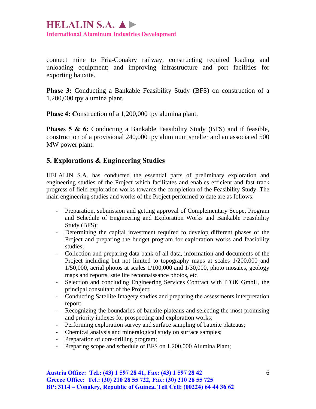connect mine to Fria-Conakry railway, constructing required loading and unloading equipment; and improving infrastructure and port facilities for exporting bauxite.

**Phase 3:** Conducting a Bankable Feasibility Study (BFS) on construction of a 1,200,000 tpy alumina plant.

**Phase 4: Construction of a 1,200,000 tpy alumina plant.** 

**Phases 5 & 6:** Conducting a Bankable Feasibility Study (BFS) and if feasible, construction of a provisional 240,000 tpy aluminum smelter and an associated 500 MW power plant.

### **5. Explorations & Engineering Studies**

HELALIN S.A. has conducted the essential parts of preliminary exploration and engineering studies of the Project which facilitates and enables efficient and fast track progress of field exploration works towards the completion of the Feasibility Study. The main engineering studies and works of the Project performed to date are as follows:

- Preparation, submission and getting approval of Complementary Scope, Program and Schedule of Engineering and Exploration Works and Bankable Feasibility Study (BFS);
- Determining the capital investment required to develop different phases of the Project and preparing the budget program for exploration works and feasibility studies;
- Collection and preparing data bank of all data, information and documents of the Project including but not limited to topography maps at scales 1/200,000 and  $1/50,000$ , aerial photos at scales  $1/100,000$  and  $1/30,000$ , photo mosaics, geology maps and reports, satellite reconnaissance photos, etc.
- Selection and concluding Engineering Services Contract with ITOK GmbH, the principal consultant of the Project;
- Conducting Satellite Imagery studies and preparing the assessments interpretation report;
- Recognizing the boundaries of bauxite plateaus and selecting the most promising and priority indexes for prospecting and exploration works;
- Performing exploration survey and surface sampling of bauxite plateaus;
- Chemical analysis and mineralogical study on surface samples;
- Preparation of core-drilling program;
- Preparing scope and schedule of BFS on 1,200,000 Alumina Plant;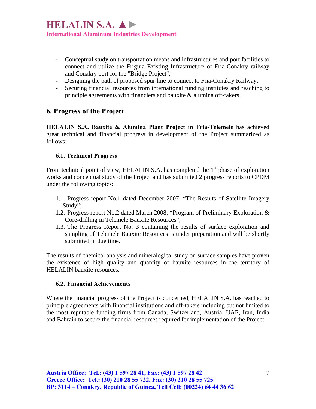- Conceptual study on transportation means and infrastructures and port facilities to connect and utilize the Friguia Existing Infrastructure of Fria-Conakry railway and Conakry port for the "Bridge Project";
- Designing the path of proposed spur line to connect to Fria-Conakry Railway.
- Securing financial resources from international funding institutes and reaching to principle agreements with financiers and bauxite & alumina off-takers.

#### **6. Progress of the Project**

**HELALIN S.A. Bauxite & Alumina Plant Project in Fria-Telemele** has achieved great technical and financial progress in development of the Project summarized as follows:

#### **6.1. Technical Progress**

From technical point of view, HELALIN S.A. has completed the  $1<sup>st</sup>$  phase of exploration works and conceptual study of the Project and has submitted 2 progress reports to CPDM under the following topics:

- 1.1. Progress report No.1 dated December 2007: "The Results of Satellite Imagery Study";
- 1.2. Progress report No.2 dated March 2008: "Program of Preliminary Exploration & Core-drilling in Telemele Bauxite Resources";
- 1.3. The Progress Report No. 3 containing the results of surface exploration and sampling of Telemele Bauxite Resources is under preparation and will be shortly submitted in due time.

The results of chemical analysis and mineralogical study on surface samples have proven the existence of high quality and quantity of bauxite resources in the territory of HELALIN bauxite resources.

#### **6.2. Financial Achievements**

Where the financial progress of the Project is concerned, HELALIN S.A. has reached to principle agreements with financial institutions and off-takers including but not limited to the most reputable funding firms from Canada, Switzerland, Austria. UAE, Iran, India and Bahrain to secure the financial resources required for implementation of the Project.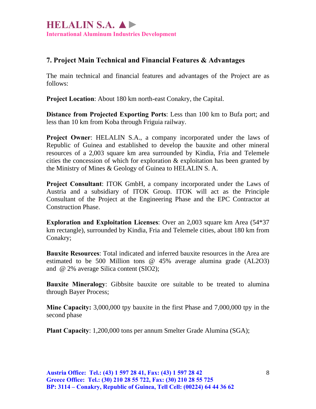## **7. Project Main Technical and Financial Features & Advantages**

The main technical and financial features and advantages of the Project are as follows:

**Project Location**: About 180 km north-east Conakry, the Capital.

**Distance from Projected Exporting Ports**: Less than 100 km to Bufa port; and less than 10 km from Koba through Friguia railway.

**Project Owner**: HELALIN S.A., a company incorporated under the laws of Republic of Guinea and established to develop the bauxite and other mineral resources of a 2,003 square km area surrounded by Kindia, Fria and Telemele cities the concession of which for exploration  $\&$  exploitation has been granted by the Ministry of Mines & Geology of Guinea to HELALIN S. A.

**Project Consultant**: ITOK GmbH, a company incorporated under the Laws of Austria and a subsidiary of ITOK Group. ITOK will act as the Principle Consultant of the Project at the Engineering Phase and the EPC Contractor at Construction Phase.

**Exploration and Exploitation Licenses**: Over an 2,003 square km Area (54\*37 km rectangle), surrounded by Kindia, Fria and Telemele cities, about 180 km from Conakry;

**Bauxite Resources**: Total indicated and inferred bauxite resources in the Area are estimated to be 500 Million tons @ 45% average alumina grade (AL2O3) and @ 2% average Silica content (SIO2);

**Bauxite Mineralogy**: Gibbsite bauxite ore suitable to be treated to alumina through Bayer Process;

**Mine Capacity:** 3,000,000 tpy bauxite in the first Phase and 7,000,000 tpy in the second phase

**Plant Capacity**: 1,200,000 tons per annum Smelter Grade Alumina (SGA);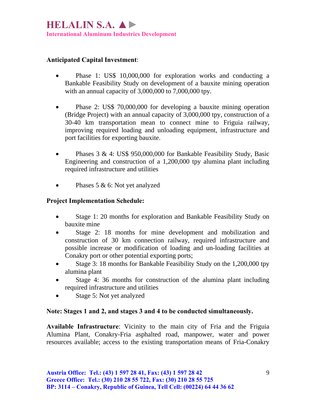#### **Anticipated Capital Investment**:

- Phase 1: US\$ 10,000,000 for exploration works and conducting a Bankable Feasibility Study on development of a bauxite mining operation with an annual capacity of 3,000,000 to 7,000,000 tpy.
- Phase 2: US\$ 70,000,000 for developing a bauxite mining operation (Bridge Project) with an annual capacity of 3,000,000 tpy, construction of a 30-40 km transportation mean to connect mine to Friguia railway, improving required loading and unloading equipment, infrastructure and port facilities for exporting bauxite.
- Phases 3 & 4: US\$ 950,000,000 for Bankable Feasibility Study, Basic Engineering and construction of a 1,200,000 tpy alumina plant including required infrastructure and utilities
- Phases 5 & 6: Not yet analyzed

#### **Project Implementation Schedule:**

- Stage 1: 20 months for exploration and Bankable Feasibility Study on bauxite mine
- Stage 2: 18 months for mine development and mobilization and construction of 30 km connection railway, required infrastructure and possible increase or modification of loading and un-loading facilities at Conakry port or other potential exporting ports;
- Stage 3: 18 months for Bankable Feasibility Study on the 1,200,000 tpy alumina plant
- Stage 4: 36 months for construction of the alumina plant including required infrastructure and utilities
- Stage 5: Not yet analyzed

#### **Note: Stages 1 and 2, and stages 3 and 4 to be conducted simultaneously.**

**Available Infrastructure**: Vicinity to the main city of Fria and the Friguia Alumina Plant, Conakry-Fria asphalted road, manpower, water and power resources available; access to the existing transportation means of Fria-Conakry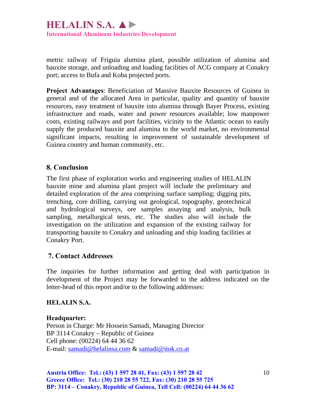metric railway of Friguia alumina plant, possible utilization of alumina and bauxite storage, and unloading and loading facilities of ACG company at Conakry port; access to Bufa and Koba projected ports.

**Project Advantages**: Beneficiation of Massive Bauxite Resources of Guinea in general and of the allocated Area in particular, quality and quantity of bauxite resources, easy treatment of bauxite into alumina through Bayer Process, existing infrastructure and roads, water and power resources available; low manpower costs, existing railways and port facilities, vicinity to the Atlantic ocean to easily supply the produced bauxite and alumina to the world market, no environmental significant impacts, resulting in improvement of sustainable development of Guinea country and human community, etc.

#### **8. Conclusion**

The first phase of exploration works and engineering studies of HELALIN bauxite mine and alumina plant project will include the preliminary and detailed exploration of the area comprising surface sampling; digging pits, trenching, core drilling, carrying out geological, topography, geotechnical and hydrological surveys, ore samples assaying and analysis, bulk sampling, metallurgical tests, etc. The studies also will include the investigation on the utilization and expansion of the existing railway for transporting bauxite to Conakry and unloading and ship loading facilities at Conakry Port.

#### **7. Contact Addresses**

The inquiries for further information and getting deal with participation in development of the Project may be forwarded to the address indicated on the letter-head of this report and/or to the following addresses:

#### **HELALIN S.A.**

**Headquarter:**  Person in Charge: Mr Hossein Samadi, Managing Director BP 3114 Conakry – Republic of Guinea Cell phone: (00224) 64 44 36 62 E-mail: [samadi@helalinsa.com](mailto:samadi@helalinsa.com) & [samadi@itok.co.at](mailto:samadi@itok.co.at) 

**Austria Office: Tel.: (43) 1 597 28 41, Fax: (43) 1 597 28 42 Greece Office: Tel.: (30) 210 28 55 722, Fax: (30) 210 28 55 725 BP: 3114 – Conakry, Republic of Guinea, Tell Cell: (00224) 64 44 36 62**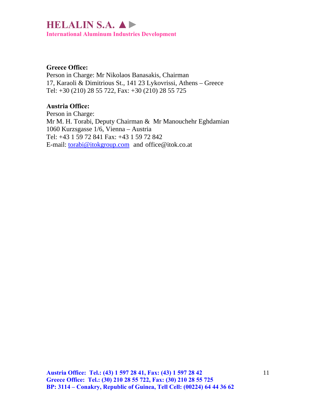# **HELALIN S.A. ▲►**

**International Aluminum Industries Development** 

#### **Greece Office:**

Person in Charge: Mr Nikolaos Banasakis, Chairman 17, Karaoli & Dimitrious St., 141 23 Lykovrissi, Athens – Greece Tel: +30 (210) 28 55 722, Fax: +30 (210) 28 55 725

#### **Austria Office:**

Person in Charge: Mr M. H. Torabi, Deputy Chairman & Mr Manouchehr Eghdamian 1060 Kurzsgasse 1/6, Vienna – Austria Tel: +43 1 59 72 841 Fax: +43 1 59 72 842 E-mail: [torabi@itokgroup.com](mailto:torabi@itokgroup.com) and office@itok.co.at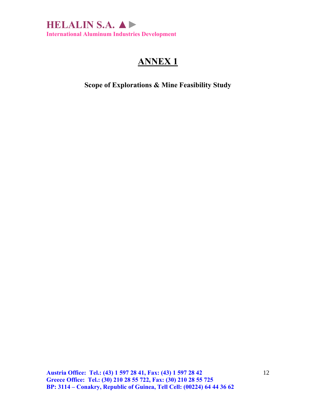

**Scope of Explorations & Mine Feasibility Study**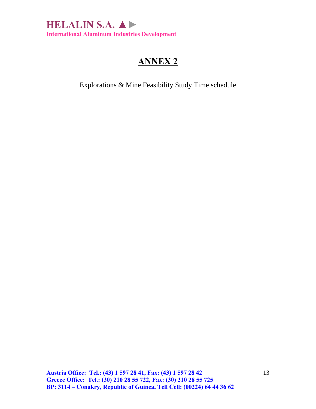

Explorations & Mine Feasibility Study Time schedule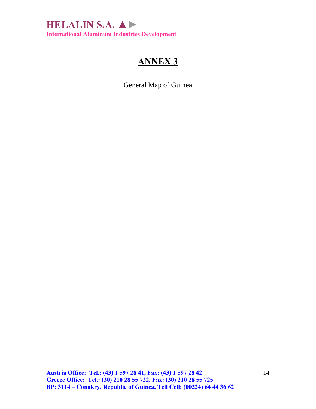

General Map of Guinea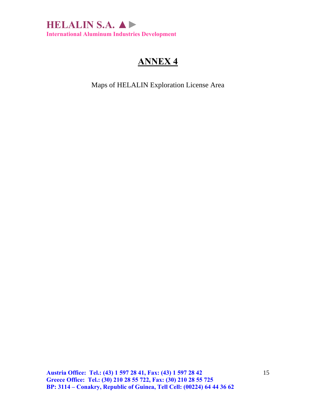

Maps of HELALIN Exploration License Area